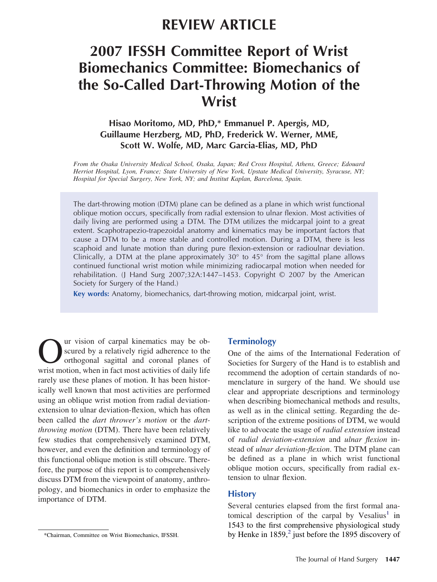# **REVIEW ARTICLE**

# **2007 IFSSH Committee Report of Wrist Biomechanics Committee: Biomechanics of the So-Called Dart-Throwing Motion of the Wrist**

# **Hisao Moritomo, MD, PhD,\* Emmanuel P. Apergis, MD, Guillaume Herzberg, MD, PhD, Frederick W. Werner, MME, Scott W. Wolfe, MD, Marc Garcia-Elias, MD, PhD**

*From the Osaka University Medical School, Osaka, Japan; Red Cross Hospital, Athens, Greece; Edouard Herriot Hospital, Lyon, France; State University of New York, Upstate Medical University, Syracuse, NY; Hospital for Special Surgery, New York, NY; and Institut Kaplan, Barcelona, Spain.*

The dart-throwing motion (DTM) plane can be defined as a plane in which wrist functional oblique motion occurs, specifically from radial extension to ulnar flexion. Most activities of daily living are performed using a DTM. The DTM utilizes the midcarpal joint to a great extent. Scaphotrapezio-trapezoidal anatomy and kinematics may be important factors that cause a DTM to be a more stable and controlled motion. During a DTM, there is less scaphoid and lunate motion than during pure flexion-extension or radioulnar deviation. Clinically, a DTM at the plane approximately  $30^{\circ}$  to  $45^{\circ}$  from the sagittal plane allows continued functional wrist motion while minimizing radiocarpal motion when needed for rehabilitation. (J Hand Surg 2007;32A:1447–1453. Copyright © 2007 by the American Society for Surgery of the Hand.)

**Key words:** Anatomy, biomechanics, dart-throwing motion, midcarpal joint, wrist.

**Our vision of carpal kinematics may be ob-**<br>
scured by a relatively rigid adherence to the<br>
orthogonal sagittal and coronal planes of<br>
wrist motion when in fact most activities of daily life scured by a relatively rigid adherence to the orthogonal sagittal and coronal planes of wrist motion, when in fact most activities of daily life rarely use these planes of motion. It has been historically well known that most activities are performed using an oblique wrist motion from radial deviationextension to ulnar deviation-flexion, which has often been called the *dart thrower's motion* or the *dartthrowing motion* (DTM). There have been relatively few studies that comprehensively examined DTM, however, and even the definition and terminology of this functional oblique motion is still obscure. Therefore, the purpose of this report is to comprehensively discuss DTM from the viewpoint of anatomy, anthropology, and biomechanics in order to emphasize the importance of DTM.

#### **Terminology**

One of the aims of the International Federation of Societies for Surgery of the Hand is to establish and recommend the adoption of certain standards of nomenclature in surgery of the hand. We should use clear and appropriate descriptions and terminology when describing biomechanical methods and results, as well as in the clinical setting. Regarding the description of the extreme positions of DTM, we would like to advocate the usage of *radial extension* instead of *radial deviation-extension* and *ulnar flexion* instead of *ulnar deviation-flexion*. The DTM plane can be defined as a plane in which wrist functional oblique motion occurs, specifically from radial extension to ulnar flexion.

#### **History**

Several centuries elapsed from the first formal anatomical description of the carpal by  $Vesalius<sup>1</sup>$  $Vesalius<sup>1</sup>$  $Vesalius<sup>1</sup>$  in 1543 to the first comprehensive physiological study \*Chairman, Committee on Wrist Biomechanics, IFSSH. by Henke in  $1859$ , iust before the 1895 discovery of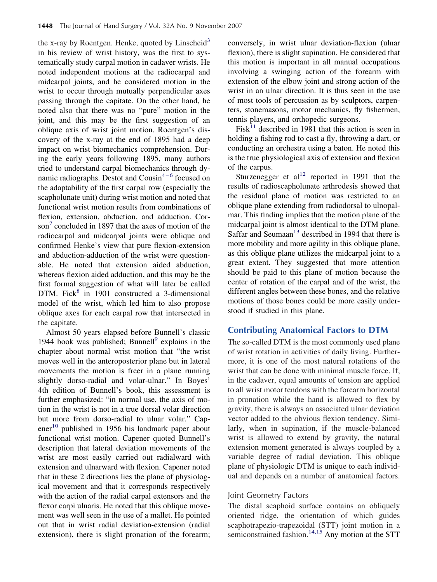the x-ray by Roentgen. Henke, quoted by Linscheid<sup>3</sup> in his review of wrist history, was the first to systematically study carpal motion in cadaver wrists. He noted independent motions at the radiocarpal and midcarpal joints, and he considered motion in the wrist to occur through mutually perpendicular axes passing through the capitate. On the other hand, he noted also that there was no "pure" motion in the joint, and this may be the first suggestion of an oblique axis of wrist joint motion. Roentgen's discovery of the x-ray at the end of 1895 had a deep impact on wrist biomechanics comprehension. During the early years following 1895, many authors tried to understand carpal biomechanics through dynamic radiographs. Destot and  $\text{Cousin}^{4-6}$  focused on the adaptability of the first carpal row (especially the scapholunate unit) during wrist motion and noted that functional wrist motion results from combinations of flexion, extension, abduction, and adduction. Cor-son<sup>[7](#page-6-0)</sup> concluded in 1897 that the axes of motion of the radiocarpal and midcarpal joints were oblique and confirmed Henke's view that pure flexion-extension and abduction-adduction of the wrist were questionable. He noted that extension aided abduction, whereas flexion aided adduction, and this may be the first formal suggestion of what will later be called DTM. Fick<sup>[8](#page-6-0)</sup> in 1901 constructed a 3-dimensional model of the wrist, which led him to also propose oblique axes for each carpal row that intersected in the capitate.

Almost 50 years elapsed before Bunnell's classic 1[9](#page-6-0)44 book was published; Bunnell<sup>9</sup> explains in the chapter about normal wrist motion that "the wrist moves well in the anteroposterior plane but in lateral movements the motion is freer in a plane running slightly dorso-radial and volar-ulnar." In Boyes' 4th edition of Bunnell's book, this assessment is further emphasized: "in normal use, the axis of motion in the wrist is not in a true dorsal volar direction but more from dorso-radial to ulnar volar." Cap $ener<sup>10</sup>$  published in 1956 his landmark paper about functional wrist motion. Capener quoted Bunnell's description that lateral deviation movements of the wrist are most easily carried out radialward with extension and ulnarward with flexion. Capener noted that in these 2 directions lies the plane of physiological movement and that it corresponds respectively with the action of the radial carpal extensors and the flexor carpi ulnaris. He noted that this oblique movement was well seen in the use of a mallet. He pointed out that in wrist radial deviation-extension (radial extension), there is slight pronation of the forearm;

conversely, in wrist ulnar deviation-flexion (ulnar flexion), there is slight supination. He considered that this motion is important in all manual occupations involving a swinging action of the forearm with extension of the elbow joint and strong action of the wrist in an ulnar direction. It is thus seen in the use of most tools of percussion as by sculptors, carpenters, stonemasons, motor mechanics, fly fishermen, tennis players, and orthopedic surgeons.

 $Fisk<sup>11</sup>$  $Fisk<sup>11</sup>$  $Fisk<sup>11</sup>$  described in 1981 that this action is seen in holding a fishing rod to cast a fly, throwing a dart, or conducting an orchestra using a baton. He noted this is the true physiological axis of extension and flexion of the carpus.

Sturzenegger et al<sup>[12](#page-6-0)</sup> reported in 1991 that the results of radioscapholunate arthrodesis showed that the residual plane of motion was restricted to an oblique plane extending from radiodorsal to ulnopalmar. This finding implies that the motion plane of the midcarpal joint is almost identical to the DTM plane. Saffar and Seumaan $13$  described in 1994 that there is more mobility and more agility in this oblique plane, as this oblique plane utilizes the midcarpal joint to a great extent. They suggested that more attention should be paid to this plane of motion because the center of rotation of the carpal and of the wrist, the different angles between these bones, and the relative motions of those bones could be more easily understood if studied in this plane.

#### **Contributing Anatomical Factors to DTM**

The so-called DTM is the most commonly used plane of wrist rotation in activities of daily living. Furthermore, it is one of the most natural rotations of the wrist that can be done with minimal muscle force. If, in the cadaver, equal amounts of tension are applied to all wrist motor tendons with the forearm horizontal in pronation while the hand is allowed to flex by gravity, there is always an associated ulnar deviation vector added to the obvious flexion tendency. Similarly, when in supination, if the muscle-balanced wrist is allowed to extend by gravity, the natural extension moment generated is always coupled by a variable degree of radial deviation. This oblique plane of physiologic DTM is unique to each individual and depends on a number of anatomical factors.

#### Joint Geometry Factors

The distal scaphoid surface contains an obliquely oriented ridge, the orientation of which guides scaphotrapezio-trapezoidal (STT) joint motion in a semiconstrained fashion.<sup>[14,15](#page-6-0)</sup> Any motion at the STT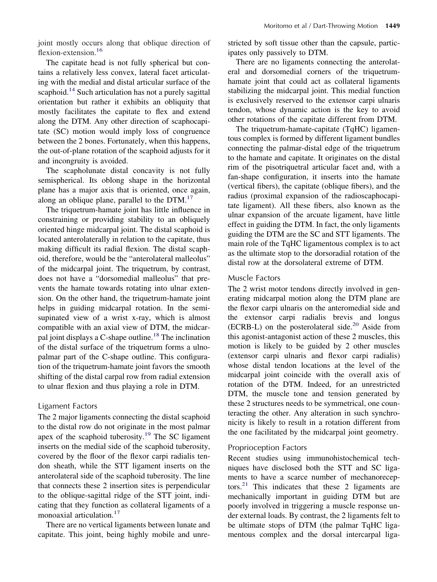joint mostly occurs along that oblique direction of flexion-extension.<sup>[16](#page-6-0)</sup>

The capitate head is not fully spherical but contains a relatively less convex, lateral facet articulating with the medial and distal articular surface of the scaphoid.<sup>[14](#page-6-0)</sup> Such articulation has not a purely sagittal orientation but rather it exhibits an obliquity that mostly facilitates the capitate to flex and extend along the DTM. Any other direction of scaphocapitate (SC) motion would imply loss of congruence between the 2 bones. Fortunately, when this happens, the out-of-plane rotation of the scaphoid adjusts for it and incongruity is avoided.

The scapholunate distal concavity is not fully semispherical. Its oblong shape in the horizontal plane has a major axis that is oriented, once again, along an oblique plane, parallel to the DTM.[17](#page-6-0)

The triquetrum-hamate joint has little influence in constraining or providing stability to an obliquely oriented hinge midcarpal joint. The distal scaphoid is located anterolaterally in relation to the capitate, thus making difficult its radial flexion. The distal scaphoid, therefore, would be the "anterolateral malleolus" of the midcarpal joint. The triquetrum, by contrast, does not have a "dorsomedial malleolus" that prevents the hamate towards rotating into ulnar extension. On the other hand, the triquetrum-hamate joint helps in guiding midcarpal rotation. In the semisupinated view of a wrist x-ray, which is almost compatible with an axial view of DTM, the midcar-pal joint displays a C-shape outline.<sup>[18](#page-6-0)</sup> The inclination of the distal surface of the triquetrum forms a ulnopalmar part of the C-shape outline. This configuration of the triquetrum-hamate joint favors the smooth shifting of the distal carpal row from radial extension to ulnar flexion and thus playing a role in DTM.

#### Ligament Factors

The 2 major ligaments connecting the distal scaphoid to the distal row do not originate in the most palmar apex of the scaphoid tuberosity.<sup>19</sup> The SC ligament inserts on the medial side of the scaphoid tuberosity, covered by the floor of the flexor carpi radialis tendon sheath, while the STT ligament inserts on the anterolateral side of the scaphoid tuberosity. The line that connects these 2 insertion sites is perpendicular to the oblique-sagittal ridge of the STT joint, indicating that they function as collateral ligaments of a monoaxial articulation.<sup>[17](#page-6-0)</sup>

There are no vertical ligaments between lunate and capitate. This joint, being highly mobile and unrestricted by soft tissue other than the capsule, participates only passively to DTM.

There are no ligaments connecting the anterolateral and dorsomedial corners of the triquetrumhamate joint that could act as collateral ligaments stabilizing the midcarpal joint. This medial function is exclusively reserved to the extensor carpi ulnaris tendon, whose dynamic action is the key to avoid other rotations of the capitate different from DTM.

The triquetrum-hamate-capitate (TqHC) ligamentous complex is formed by different ligament bundles connecting the palmar-distal edge of the triquetrum to the hamate and capitate. It originates on the distal rim of the pisotriquetral articular facet and, with a fan-shape configuration, it inserts into the hamate (vertical fibers), the capitate (oblique fibers), and the radius (proximal expansion of the radioscaphocapitate ligament). All these fibers, also known as the ulnar expansion of the arcuate ligament, have little effect in guiding the DTM. In fact, the only ligaments guiding the DTM are the SC and STT ligaments. The main role of the TqHC ligamentous complex is to act as the ultimate stop to the dorsoradial rotation of the distal row at the dorsolateral extreme of DTM.

#### Muscle Factors

The 2 wrist motor tendons directly involved in generating midcarpal motion along the DTM plane are the flexor carpi ulnaris on the anteromedial side and the extensor carpi radialis brevis and longus  $(ECRB-L)$  on the posterolateral side.<sup>20</sup> Aside from this agonist-antagonist action of these 2 muscles, this motion is likely to be guided by 2 other muscles (extensor carpi ulnaris and flexor carpi radialis) whose distal tendon locations at the level of the midcarpal joint coincide with the overall axis of rotation of the DTM. Indeed, for an unrestricted DTM, the muscle tone and tension generated by these 2 structures needs to be symmetrical, one counteracting the other. Any alteration in such synchronicity is likely to result in a rotation different from the one facilitated by the midcarpal joint geometry.

#### Proprioception Factors

Recent studies using immunohistochemical techniques have disclosed both the STT and SC ligaments to have a scarce number of mechanoreceptors. $21$  This indicates that these 2 ligaments are mechanically important in guiding DTM but are poorly involved in triggering a muscle response under external loads. By contrast, the 2 ligaments felt to be ultimate stops of DTM (the palmar TqHC ligamentous complex and the dorsal intercarpal liga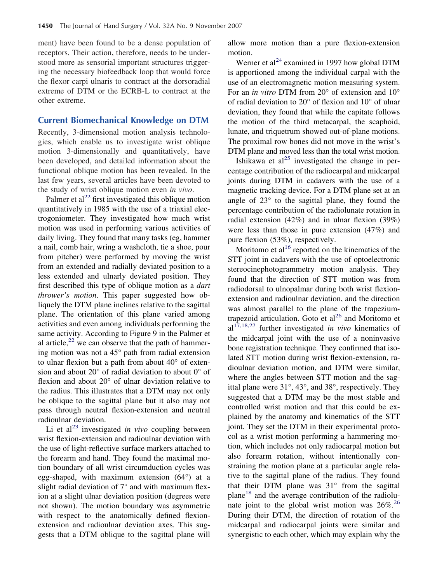ment) have been found to be a dense population of receptors. Their action, therefore, needs to be understood more as sensorial important structures triggering the necessary biofeedback loop that would force the flexor carpi ulnaris to contract at the dorsoradial extreme of DTM or the ECRB-L to contract at the other extreme.

#### **Current Biomechanical Knowledge on DTM**

Recently, 3-dimensional motion analysis technologies, which enable us to investigate wrist oblique motion 3-dimensionally and quantitatively, have been developed, and detailed information about the functional oblique motion has been revealed. In the last few years, several articles have been devoted to the study of wrist oblique motion even *in vivo*.

Palmer et al<sup>[22](#page-6-0)</sup> first investigated this oblique motion quantitatively in 1985 with the use of a triaxial electrogoniometer. They investigated how much wrist motion was used in performing various activities of daily living. They found that many tasks (eg, hammer a nail, comb hair, wring a washcloth, tie a shoe, pour from pitcher) were performed by moving the wrist from an extended and radially deviated position to a less extended and ulnarly deviated position. They first described this type of oblique motion as a *dart thrower's motion*. This paper suggested how obliquely the DTM plane inclines relative to the sagittal plane. The orientation of this plane varied among activities and even among individuals performing the same activity. According to Figure 9 in the Palmer et al article, $^{22}$  we can observe that the path of hammering motion was not a 45° path from radial extension to ulnar flexion but a path from about 40° of extension and about 20° of radial deviation to about 0° of flexion and about 20° of ulnar deviation relative to the radius. This illustrates that a DTM may not only be oblique to the sagittal plane but it also may not pass through neutral flexion-extension and neutral radioulnar deviation.

Li et al<sup>23</sup> investigated *in vivo* coupling between wrist flexion-extension and radioulnar deviation with the use of light-reflective surface markers attached to the forearm and hand. They found the maximal motion boundary of all wrist circumduction cycles was egg-shaped, with maximum extension (64°) at a slight radial deviation of  $7^\circ$  and with maximum flexion at a slight ulnar deviation position (degrees were not shown). The motion boundary was asymmetric with respect to the anatomically defined flexionextension and radioulnar deviation axes. This suggests that a DTM oblique to the sagittal plane will allow more motion than a pure flexion-extension motion.

Werner et al<sup>[24](#page-6-0)</sup> examined in 1997 how global DTM is apportioned among the individual carpal with the use of an electromagnetic motion measuring system. For an *in vitro* DTM from 20° of extension and 10° of radial deviation to 20° of flexion and 10° of ulnar deviation, they found that while the capitate follows the motion of the third metacarpal, the scaphoid, lunate, and triquetrum showed out-of-plane motions. The proximal row bones did not move in the wrist's DTM plane and moved less than the total wrist motion.

Ishikawa et al<sup>25</sup> investigated the change in percentage contribution of the radiocarpal and midcarpal joints during DTM in cadavers with the use of a magnetic tracking device. For a DTM plane set at an angle of 23° to the sagittal plane, they found the percentage contribution of the radiolunate rotation in radial extension (42%) and in ulnar flexion (39%) were less than those in pure extension (47%) and pure flexion (53%), respectively.

Moritomo et al<sup>[16](#page-6-0)</sup> reported on the kinematics of the STT joint in cadavers with the use of optoelectronic stereocinephotogrammetry motion analysis. They found that the direction of STT motion was from radiodorsal to ulnopalmar during both wrist flexionextension and radioulnar deviation, and the direction was almost parallel to the plane of the trapeziumtrapezoid articulation. Goto et al<sup>26</sup> and Moritomo et  $al^{17,18,27}$  $al^{17,18,27}$  $al^{17,18,27}$  further investigated *in vivo* kinematics of the midcarpal joint with the use of a noninvasive bone registration technique. They confirmed that isolated STT motion during wrist flexion-extension, radioulnar deviation motion, and DTM were similar, where the angles between STT motion and the sagittal plane were 31°, 43°, and 38°, respectively. They suggested that a DTM may be the most stable and controlled wrist motion and that this could be explained by the anatomy and kinematics of the STT joint. They set the DTM in their experimental protocol as a wrist motion performing a hammering motion, which includes not only radiocarpal motion but also forearm rotation, without intentionally constraining the motion plane at a particular angle relative to the sagittal plane of the radius. They found that their DTM plane was 31° from the sagittal plane<sup>[18](#page-6-0)</sup> and the average contribution of the radiolunate joint to the global wrist motion was  $26\%$  $26\%$ <sup>26</sup> During their DTM, the direction of rotation of the midcarpal and radiocarpal joints were similar and synergistic to each other, which may explain why the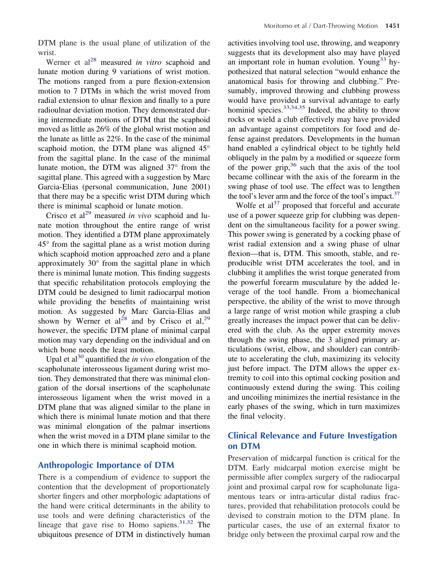DTM plane is the usual plane of utilization of the wrist.

Werner et al<sup>28</sup> measured *in vitro* scaphoid and lunate motion during 9 variations of wrist motion. The motions ranged from a pure flexion-extension motion to 7 DTMs in which the wrist moved from radial extension to ulnar flexion and finally to a pure radioulnar deviation motion. They demonstrated during intermediate motions of DTM that the scaphoid moved as little as 26% of the global wrist motion and the lunate as little as 22%. In the case of the minimal scaphoid motion, the DTM plane was aligned 45° from the sagittal plane. In the case of the minimal lunate motion, the DTM was aligned 37° from the sagittal plane. This agreed with a suggestion by Marc Garcia-Elias (personal communication, June 2001) that there may be a specific wrist DTM during which there is minimal scaphoid or lunate motion.

Crisco et al<sup>[29](#page-6-0)</sup> measured *in vivo* scaphoid and lunate motion throughout the entire range of wrist motion. They identified a DTM plane approximately 45° from the sagittal plane as a wrist motion during which scaphoid motion approached zero and a plane approximately 30° from the sagittal plane in which there is minimal lunate motion. This finding suggests that specific rehabilitation protocols employing the DTM could be designed to limit radiocarpal motion while providing the benefits of maintaining wrist motion. As suggested by Marc Garcia-Elias and shown by Werner et  $al^{28}$  and by Crisco et  $al^{29}$ , however, the specific DTM plane of minimal carpal motion may vary depending on the individual and on which bone needs the least motion.

Upal et al<sup>[30](#page-6-0)</sup> quantified the *in vivo* elongation of the scapholunate interosseous ligament during wrist motion. They demonstrated that there was minimal elongation of the dorsal insertions of the scapholunate interosseous ligament when the wrist moved in a DTM plane that was aligned similar to the plane in which there is minimal lunate motion and that there was minimal elongation of the palmar insertions when the wrist moved in a DTM plane similar to the one in which there is minimal scaphoid motion.

### **Anthropologic Importance of DTM**

There is a compendium of evidence to support the contention that the development of proportionately shorter fingers and other morphologic adaptations of the hand were critical determinants in the ability to use tools and were defining characteristics of the lineage that gave rise to Homo sapiens. $31,32$  The ubiquitous presence of DTM in distinctively human

activities involving tool use, throwing, and weaponry suggests that its development also may have played an important role in human evolution. Young<sup>[33](#page-6-0)</sup> hypothesized that natural selection "would enhance the anatomical basis for throwing and clubbing." Presumably, improved throwing and clubbing prowess would have provided a survival advantage to early hominid species.  $33,34,35$  Indeed, the ability to throw rocks or wield a club effectively may have provided an advantage against competitors for food and defense against predators. Developments in the human hand enabled a cylindrical object to be tightly held obliquely in the palm by a modified or squeeze form of the power grip,  $36$  such that the axis of the tool became collinear with the axis of the forearm in the swing phase of tool use. The effect was to lengthen the tool's lever arm and the force of the tool's impact.<sup>37</sup>

Wolfe et al<sup>37</sup> proposed that forceful and accurate use of a power squeeze grip for clubbing was dependent on the simultaneous facility for a power swing. This power swing is generated by a cocking phase of wrist radial extension and a swing phase of ulnar flexion—that is, DTM. This smooth, stable, and reproducible wrist DTM accelerates the tool, and in clubbing it amplifies the wrist torque generated from the powerful forearm musculature by the added leverage of the tool handle. From a biomechanical perspective, the ability of the wrist to move through a large range of wrist motion while grasping a club greatly increases the impact power that can be delivered with the club. As the upper extremity moves through the swing phase, the 3 aligned primary articulations (wrist, elbow, and shoulder) can contribute to accelerating the club, maximizing its velocity just before impact. The DTM allows the upper extremity to coil into this optimal cocking position and continuously extend during the swing. This coiling and uncoiling minimizes the inertial resistance in the early phases of the swing, which in turn maximizes the final velocity.

# **Clinical Relevance and Future Investigation on DTM**

Preservation of midcarpal function is critical for the DTM. Early midcarpal motion exercise might be permissible after complex surgery of the radiocarpal joint and proximal carpal row for scapholunate ligamentous tears or intra-articular distal radius fractures, provided that rehabilitation protocols could be devised to constrain motion to the DTM plane. In particular cases, the use of an external fixator to bridge only between the proximal carpal row and the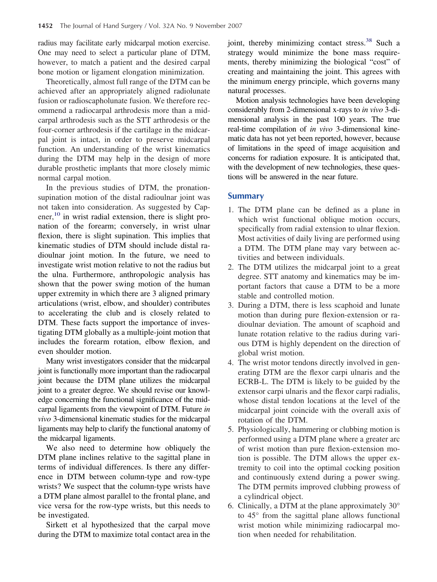radius may facilitate early midcarpal motion exercise. One may need to select a particular plane of DTM, however, to match a patient and the desired carpal bone motion or ligament elongation minimization.

Theoretically, almost full range of the DTM can be achieved after an appropriately aligned radiolunate fusion or radioscapholunate fusion. We therefore recommend a radiocarpal arthrodesis more than a midcarpal arthrodesis such as the STT arthrodesis or the four-corner arthrodesis if the cartilage in the midcarpal joint is intact, in order to preserve midcarpal function. An understanding of the wrist kinematics during the DTM may help in the design of more durable prosthetic implants that more closely mimic normal carpal motion.

In the previous studies of DTM, the pronationsupination motion of the distal radioulnar joint was not taken into consideration. As suggested by Capener, $^{10}$  $^{10}$  $^{10}$  in wrist radial extension, there is slight pronation of the forearm; conversely, in wrist ulnar flexion, there is slight supination. This implies that kinematic studies of DTM should include distal radioulnar joint motion. In the future, we need to investigate wrist motion relative to not the radius but the ulna. Furthermore, anthropologic analysis has shown that the power swing motion of the human upper extremity in which there are 3 aligned primary articulations (wrist, elbow, and shoulder) contributes to accelerating the club and is closely related to DTM. These facts support the importance of investigating DTM globally as a multiple-joint motion that includes the forearm rotation, elbow flexion, and even shoulder motion.

Many wrist investigators consider that the midcarpal joint is functionally more important than the radiocarpal joint because the DTM plane utilizes the midcarpal joint to a greater degree. We should revise our knowledge concerning the functional significance of the midcarpal ligaments from the viewpoint of DTM. Future *in vivo* 3-dimensional kinematic studies for the midcarpal ligaments may help to clarify the functional anatomy of the midcarpal ligaments.

We also need to determine how obliquely the DTM plane inclines relative to the sagittal plane in terms of individual differences. Is there any difference in DTM between column-type and row-type wrists? We suspect that the column-type wrists have a DTM plane almost parallel to the frontal plane, and vice versa for the row-type wrists, but this needs to be investigated.

Sirkett et al hypothesized that the carpal move during the DTM to maximize total contact area in the joint, thereby minimizing contact stress.<sup>[38](#page-6-0)</sup> Such a strategy would minimize the bone mass requirements, thereby minimizing the biological "cost" of creating and maintaining the joint. This agrees with the minimum energy principle, which governs many natural processes.

Motion analysis technologies have been developing considerably from 2-dimensional x-rays to *in vivo* 3-dimensional analysis in the past 100 years. The true real-time compilation of *in vivo* 3-dimensional kinematic data has not yet been reported, however, because of limitations in the speed of image acquisition and concerns for radiation exposure. It is anticipated that, with the development of new technologies, these questions will be answered in the near future.

# **Summary**

- 1. The DTM plane can be defined as a plane in which wrist functional oblique motion occurs, specifically from radial extension to ulnar flexion. Most activities of daily living are performed using a DTM. The DTM plane may vary between activities and between individuals.
- 2. The DTM utilizes the midcarpal joint to a great degree. STT anatomy and kinematics may be important factors that cause a DTM to be a more stable and controlled motion.
- 3. During a DTM, there is less scaphoid and lunate motion than during pure flexion-extension or radioulnar deviation. The amount of scaphoid and lunate rotation relative to the radius during various DTM is highly dependent on the direction of global wrist motion.
- 4. The wrist motor tendons directly involved in generating DTM are the flexor carpi ulnaris and the ECRB-L. The DTM is likely to be guided by the extensor carpi ulnaris and the flexor carpi radialis, whose distal tendon locations at the level of the midcarpal joint coincide with the overall axis of rotation of the DTM.
- 5. Physiologically, hammering or clubbing motion is performed using a DTM plane where a greater arc of wrist motion than pure flexion-extension motion is possible. The DTM allows the upper extremity to coil into the optimal cocking position and continuously extend during a power swing. The DTM permits improved clubbing prowess of a cylindrical object.
- 6. Clinically, a DTM at the plane approximately 30° to 45° from the sagittal plane allows functional wrist motion while minimizing radiocarpal motion when needed for rehabilitation.